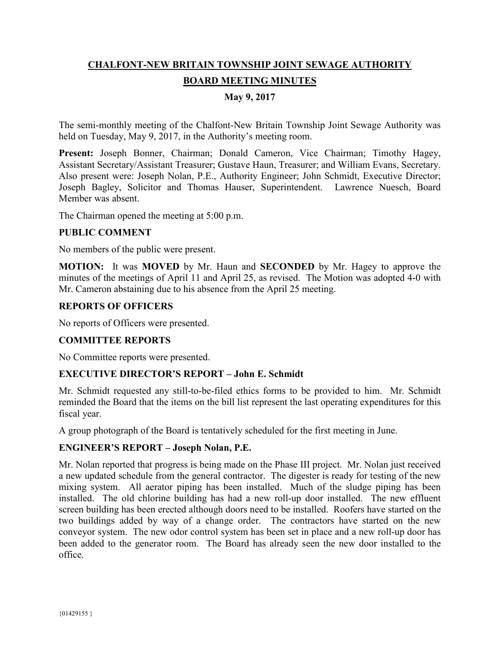# **CHALFONT-NEW BRITAIN TOWNSHIP JOINT SEWAGE AUTHORITY BOARD MEETING MINUTES**

# **May 9, 2017**

The semi-monthly meeting of the Chalfont-New Britain Township Joint Sewage Authority was held on Tuesday, May 9, 2017, in the Authority's meeting room.

**Present:** Joseph Bonner, Chairman; Donald Cameron, Vice Chairman; Timothy Hagey, Assistant Secretary/Assistant Treasurer; Gustave Haun, Treasurer; and William Evans, Secretary. Also present were: Joseph Nolan, P.E., Authority Engineer; John Schmidt, Executive Director; Joseph Bagley, Solicitor and Thomas Hauser, Superintendent. Lawrence Nuesch, Board Member was absent.

The Chairman opened the meeting at 5:00 p.m.

## **PUBLIC COMMENT**

No members of the public were present.

**MOTION:** It was **MOVED** by Mr. Haun and **SECONDED** by Mr. Hagey to approve the minutes of the meetings of April 11 and April 25, as revised. The Motion was adopted 4-0 with Mr. Cameron abstaining due to his absence from the April 25 meeting.

## **REPORTS OF OFFICERS**

No reports of Officers were presented.

## **COMMITTEE REPORTS**

No Committee reports were presented.

## **EXECUTIVE DIRECTOR'S REPORT – John E. Schmidt**

Mr. Schmidt requested any still-to-be-filed ethics forms to be provided to him. Mr. Schmidt reminded the Board that the items on the bill list represent the last operating expenditures for this fiscal year.

A group photograph of the Board is tentatively scheduled for the first meeting in June.

## **ENGINEER'S REPORT – Joseph Nolan, P.E.**

Mr. Nolan reported that progress is being made on the Phase III project. Mr. Nolan just received a new updated schedule from the general contractor. The digester is ready for testing of the new mixing system. All aerator piping has been installed. Much of the sludge piping has been installed. The old chlorine building has had a new roll-up door installed. The new effluent screen building has been erected although doors need to be installed. Roofers have started on the two buildings added by way of a change order. The contractors have started on the new conveyor system. The new odor control system has been set in place and a new roll-up door has been added to the generator room. The Board has already seen the new door installed to the office.